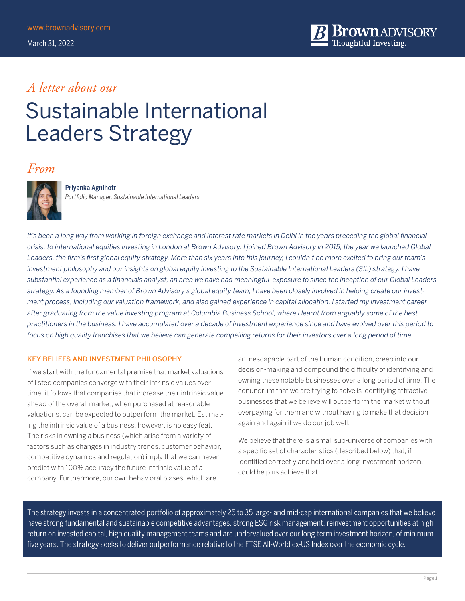

### *A letter about our*

# Sustainable International Leaders Strategy

### *From*



#### Priyanka Agnihotri

*Portfolio Manager, Sustainable International Leaders*

*It's been a long way from working in foreign exchange and interest rate markets in Delhi in the years preceding the global financial crisis, to international equities investing in London at Brown Advisory. I joined Brown Advisory in 2015, the year we launched Global*  Leaders, the firm's first global equity strategy. More than six years into this journey, I couldn't be more excited to bring our team's investment philosophy and our insights on global equity investing to the Sustainable International Leaders (SIL) strategy. I have *substantial experience as a financials analyst, an area we have had meaningful exposure to since the inception of our Global Leaders strategy. As a founding member of Brown Advisory's global equity team, I have been closely involved in helping create our investment process, including our valuation framework, and also gained experience in capital allocation. I started my investment career after graduating from the value investing program at Columbia Business School, where I learnt from arguably some of the best practitioners in the business. I have accumulated over a decade of investment experience since and have evolved over this period to focus on high quality franchises that we believe can generate compelling returns for their investors over a long period of time.* 

#### KEY BELIEFS AND INVESTMENT PHILOSOPHY

If we start with the fundamental premise that market valuations of listed companies converge with their intrinsic values over time, it follows that companies that increase their intrinsic value ahead of the overall market, when purchased at reasonable valuations, can be expected to outperform the market. Estimating the intrinsic value of a business, however, is no easy feat. The risks in owning a business (which arise from a variety of factors such as changes in industry trends, customer behavior, competitive dynamics and regulation) imply that we can never predict with 100% accuracy the future intrinsic value of a company. Furthermore, our own behavioral biases, which are

an inescapable part of the human condition, creep into our decision-making and compound the difficulty of identifying and owning these notable businesses over a long period of time. The conundrum that we are trying to solve is identifying attractive businesses that we believe will outperform the market without overpaying for them and without having to make that decision again and again if we do our job well.

We believe that there is a small sub-universe of companies with a specific set of characteristics (described below) that, if identified correctly and held over a long investment horizon, could help us achieve that.

The strategy invests in a concentrated portfolio of approximately 25 to 35 large- and mid-cap international companies that we believe have strong fundamental and sustainable competitive advantages, strong ESG risk management, reinvestment opportunities at high return on invested capital, high quality management teams and are undervalued over our long-term investment horizon, of minimum five years. The strategy seeks to deliver outperformance relative to the FTSE All-World ex-US Index over the economic cycle.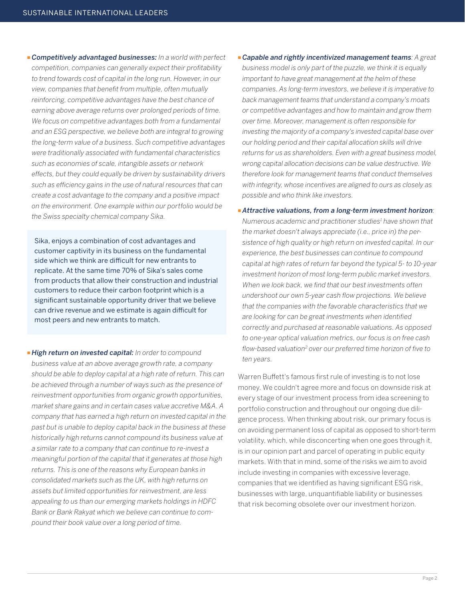**Example in** *Competitively advantaged businesses:* In a world with perfect *competition, companies can generally expect their profitability to trend towards cost of capital in the long run. However, in our view, companies that benefit from multiple, often mutually reinforcing, competitive advantages have the best chance of earning above average returns over prolonged periods of time. We focus on competitive advantages both from a fundamental and an ESG perspective, we believe both are integral to growing the long-term value of a business. Such competitive advantages were traditionally associated with fundamental characteristics such as economies of scale, intangible assets or network effects, but they could equally be driven by sustainability drivers such as efficiency gains in the use of natural resources that can create a cost advantage to the company and a positive impact on the environment. One example within our portfolio would be the Swiss specialty chemical company Sika.*

Sika, enjoys a combination of cost advantages and customer captivity in its business on the fundamental side which we think are difficult for new entrants to replicate. At the same time 70% of Sika's sales come from products that allow their construction and industrial customers to reduce their carbon footprint which is a significant sustainable opportunity driver that we believe can drive revenue and we estimate is again difficult for most peers and new entrants to match.

**High return on invested capital:** In order to compound *business value at an above average growth rate, a company should be able to deploy capital at a high rate of return. This can be achieved through a number of ways such as the presence of reinvestment opportunities from organic growth opportunities, market share gains and in certain cases value accretive M&A. A company that has earned a high return on invested capital in the past but is unable to deploy capital back in the business at these historically high returns cannot compound its business value at a similar rate to a company that can continue to re-invest a meaningful portion of the capital that it generates at those high returns. This is one of the reasons why European banks in consolidated markets such as the UK, with high returns on assets but limited opportunities for reinvestment, are less appealing to us than our emerging markets holdings in HDFC Bank or Bank Rakyat which we believe can continue to compound their book value over a long period of time.*

**Exapable and rightly incentivized management teams**: A great *business model is only part of the puzzle, we think it is equally important to have great management at the helm of these companies. As long-term investors, we believe it is imperative to back management teams that understand a company's moats or competitive advantages and how to maintain and grow them over time. Moreover, management is often responsible for investing the majority of a company's invested capital base over our holding period and their capital allocation skills will drive returns for us as shareholders. Even with a great business model, wrong capital allocation decisions can be value destructive. We therefore look for management teams that conduct themselves with integrity, whose incentives are aligned to ours as closely as possible and who think like investors.*

**Attractive valuations, from a long-term investment horizon;** *Numerous academic and practitioner studies1 have shown that the market doesn't always appreciate (i.e., price in) the persistence of high quality or high return on invested capital. In our experience, the best businesses can continue to compound capital at high rates of return far beyond the typical 5- to 10-year investment horizon of most long-term public market investors. When we look back, we find that our best investments often undershoot our own 5-year cash flow projections. We believe that the companies with the favorable characteristics that we are looking for can be great investments when identified correctly and purchased at reasonable valuations. As opposed to one-year optical valuation metrics, our focus is on free cash flow-based valuation2 over our preferred time horizon of five to ten years.*

Warren Buffett's famous first rule of investing is to not lose money. We couldn't agree more and focus on downside risk at every stage of our investment process from idea screening to portfolio construction and throughout our ongoing due diligence process. When thinking about risk, our primary focus is on avoiding permanent loss of capital as opposed to short-term volatility, which, while disconcerting when one goes through it, is in our opinion part and parcel of operating in public equity markets. With that in mind, some of the risks we aim to avoid include investing in companies with excessive leverage, companies that we identified as having significant ESG risk, businesses with large, unquantifiable liability or businesses that risk becoming obsolete over our investment horizon.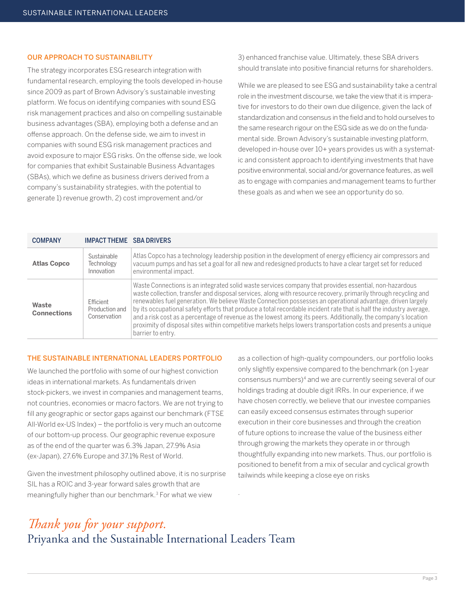#### OUR APPROACH TO SUSTAINABILITY

The strategy incorporates ESG research integration with fundamental research, employing the tools developed in-house since 2009 as part of Brown Advisory's sustainable investing platform. We focus on identifying companies with sound ESG risk management practices and also on compelling sustainable business advantages (SBA), employing both a defense and an offense approach. On the defense side, we aim to invest in companies with sound ESG risk management practices and avoid exposure to major ESG risks. On the offense side, we look for companies that exhibit Sustainable Business Advantages (SBAs), which we define as business drivers derived from a company's sustainability strategies, with the potential to generate 1) revenue growth, 2) cost improvement and/or

3) enhanced franchise value. Ultimately, these SBA drivers should translate into positive financial returns for shareholders.

While we are pleased to see ESG and sustainability take a central role in the investment discourse, we take the view that it is imperative for investors to do their own due diligence, given the lack of standardization and consensus in the field and to hold ourselves to the same research rigour on the ESG side as we do on the fundamental side. Brown Advisory's sustainable investing platform, developed in-house over 10+ years provides us with a systematic and consistent approach to identifying investments that have positive environmental, social and/or governance features, as well as to engage with companies and management teams to further these goals as and when we see an opportunity do so.

| <b>COMPANY</b>              | <b>IMPACT THEME SBA DRIVERS</b>             |                                                                                                                                                                                                                                                                                                                                                                                                                                                                                                                                                                                                                                                                                                                         |
|-----------------------------|---------------------------------------------|-------------------------------------------------------------------------------------------------------------------------------------------------------------------------------------------------------------------------------------------------------------------------------------------------------------------------------------------------------------------------------------------------------------------------------------------------------------------------------------------------------------------------------------------------------------------------------------------------------------------------------------------------------------------------------------------------------------------------|
| <b>Atlas Copco</b>          | Sustainable<br>Technology<br>Innovation     | Atlas Copco has a technology leadership position in the development of energy efficiency air compressors and<br>vacuum pumps and has set a goal for all new and redesigned products to have a clear target set for reduced<br>environmental impact.                                                                                                                                                                                                                                                                                                                                                                                                                                                                     |
| Waste<br><b>Connections</b> | Ffficient<br>Production and<br>Conservation | Waste Connections is an integrated solid waste services company that provides essential, non-hazardous<br>waste collection, transfer and disposal services, along with resource recovery, primarily through recycling and<br>renewables fuel generation. We believe Waste Connection possesses an operational advantage, driven largely<br>by its occupational safety efforts that produce a total recordable incident rate that is half the industry average,<br>and a risk cost as a percentage of revenue as the lowest among its peers. Additionally, the company's location<br>proximity of disposal sites within competitive markets helps lowers transportation costs and presents a unique<br>barrier to entry. |

.

#### THE SUSTAINABLE INTERNATIONAL LEADERS PORTFOLIO

We launched the portfolio with some of our highest conviction ideas in international markets. As fundamentals driven stock-pickers, we invest in companies and management teams, not countries, economies or macro factors. We are not trying to fill any geographic or sector gaps against our benchmark (FTSE All-World ex-US Index) – the portfolio is very much an outcome of our bottom-up process. Our geographic revenue exposure as of the end of the quarter was 6.3% Japan, 27.9% Asia (ex-Japan), 27.6% Europe and 37.1% Rest of World.

Given the investment philosophy outlined above, it is no surprise SIL has a ROIC and 3-year forward sales growth that are meaningfully higher than our benchmark.3 For what we view

as a collection of high-quality compounders, our portfolio looks only slightly expensive compared to the benchmark (on 1-year consensus numbers)4 and we are currently seeing several of our holdings trading at double digit IRRs. In our experience, if we have chosen correctly, we believe that our investee companies can easily exceed consensus estimates through superior execution in their core businesses and through the creation of future options to increase the value of the business either through growing the markets they operate in or through thoughtfully expanding into new markets. Thus, our portfolio is positioned to benefit from a mix of secular and cyclical growth tailwinds while keeping a close eye on risks

### *Thank you for your support.*  Priyanka and the Sustainable International Leaders Team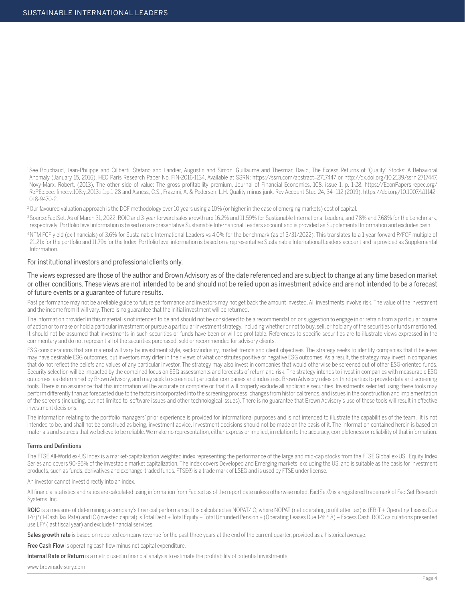<sup>1</sup>See Bouchaud, Jean-Philippe and Ciliberti, Stefano and Landier, Augustin and Simon, Guillaume and Thesmar, David, The Excess Returns of 'Quality' Stocks: A Behavioral Anomaly (January 15, 2016). HEC Paris Research Paper No. FIN-2016-1134, Available at SSRN: https://ssrn.com/abstract=2717447 or http://dx.doi.org/10.2139/ssrn.2717447, Novy-Marx, Robert, (2013), The other side of value: The gross profitability premium, Journal of Financial Economics, 108, issue 1, p. 1-28, https://EconPapers.repec.org/ RePEc:eee:jfinec:v:108:y:2013:i:1:p:1-28 and Asness, C.S., Frazzini, A. & Pedersen, L.H. Quality minus junk. Rev Account Stud 24, 34–112 (2019). https://doi.org/10.1007/s11142- 018-9470-2.

<sup>2</sup>Our favoured valuation approach is the DCF methodology over 10 years using a 10% (or higher in the case of emerging markets) cost of capital.

3 Source:FactSet. As of March 31, 2022, ROIC and 3-year forward sales growth are 16.2% and 11.59% for Sustianable International Leaders, and 7.8% and 7.68% for the benchmark, respectively. Portfolio level information is based on a representative Sustainable International Leaders account and is provided as Supplemental Information and excludes cash.

4 NTM FCF yield (ex-financials) of 3.6% for Sustainable International Leaders vs 4.0% for the benchmark (as of 3/31/2022). This translates to a 1-year forward P/FCF multiple of 21.21x for the portfolio and 11.79x for the Index. Portfolio level information is based on a representative Sustainable International Leaders account and is provided as Supplemental Information.

#### For institutional investors and professional clients only.

The views expressed are those of the author and Brown Advisory as of the date referenced and are subject to change at any time based on market or other conditions. These views are not intended to be and should not be relied upon as investment advice and are not intended to be a forecast of future events or a guarantee of future results.

Past performance may not be a reliable guide to future performance and investors may not get back the amount invested. All investments involve risk. The value of the investment and the income from it will vary. There is no guarantee that the initial investment will be returned.

The information provided in this material is not intended to be and should not be considered to be a recommendation or suggestion to engage in or refrain from a particular course of action or to make or hold a particular investment or pursue a particular investment strategy, including whether or not to buy, sell, or hold any of the securities or funds mentioned. It should not be assumed that investments in such securities or funds have been or will be profitable. References to specific securities are to illustrate views expressed in the commentary and do not represent all of the securities purchased, sold or recommended for advisory clients.

ESG considerations that are material will vary by investment style, sector/industry, market trends and client objectives. The strategy seeks to identify companies that it believes may have desirable ESG outcomes, but investors may differ in their views of what constitutes positive or negative ESG outcomes. As a result, the strategy may invest in companies that do not reflect the beliefs and values of any particular investor. The strategy may also invest in companies that would otherwise be screened out of other ESG-oriented funds. Security selection will be impacted by the combined focus on ESG assessments and forecasts of return and risk. The strategy intends to invest in companies with measurable ESG outcomes, as determined by Brown Advisory, and may seek to screen out particular companies and industries. Brown Advisory relies on third parties to provide data and screening tools. There is no assurance that this information will be accurate or complete or that it will properly exclude all applicable securities. Investments selected using these tools may perform differently than as forecasted due to the factors incorporated into the screening process, changes from historical trends, and issues in the construction and implementation of the screens (including, but not limited to, software issues and other technological issues). There is no guarantee that Brown Advisory's use of these tools will result in effective investment decisions.

The information relating to the portfolio managers' prior experience is provided for informational purposes and is not intended to illustrate the capabilities of the team. It is not intended to be, and shall not be construed as being, investment advice. Investment decisions should not be made on the basis of it. The information contained herein is based on materials and sources that we believe to be reliable. We make no representation, either express or implied, in relation to the accuracy, completeness or reliability of that information.

#### Terms and Definitions

The FTSE All-World ex-US Index is a market-capitalization weighted index representing the performance of the large and mid-cap stocks from the FTSE Global ex-US l Equity Index Series and covers 90-95% of the investable market capitalization. The index covers Developed and Emerging markets, excluding the US, and is suitable as the basis for investment products, such as funds, derivatives and exchange-traded funds. FTSE® is a trade mark of LSEG and is used by FTSE under license.

An investor cannot invest directly into an index.

All financial statistics and ratios are calculated using information from Factset as of the report date unless otherwise noted. FactSet® is a registered trademark of FactSet Research Systems, Inc.

ROIC is a measure of determining a company's financial performance. It is calculated as NOPAT/IC; where NOPAT (net operating profit after tax) is (EBIT + Operating Leases Due 1-Yr)\*(1-Cash Tax Rate) and IC (invested capital) is Total Debt + Total Equity + Total Unfunded Pension + (Operating Leases Due 1-Yr \* 8) – Excess Cash. ROIC calculations presented use LFY (last fiscal year) and exclude financial services.

Sales growth rate is based on reported company revenue for the past three years at the end of the current quarter, provided as a historical average.

Free Cash Flow is operating cash flow minus net capital expenditure.

Internal Rate or Return is a metric used in financial analysis to estimate the profitability of potential investments.

www.brownadvisory.com